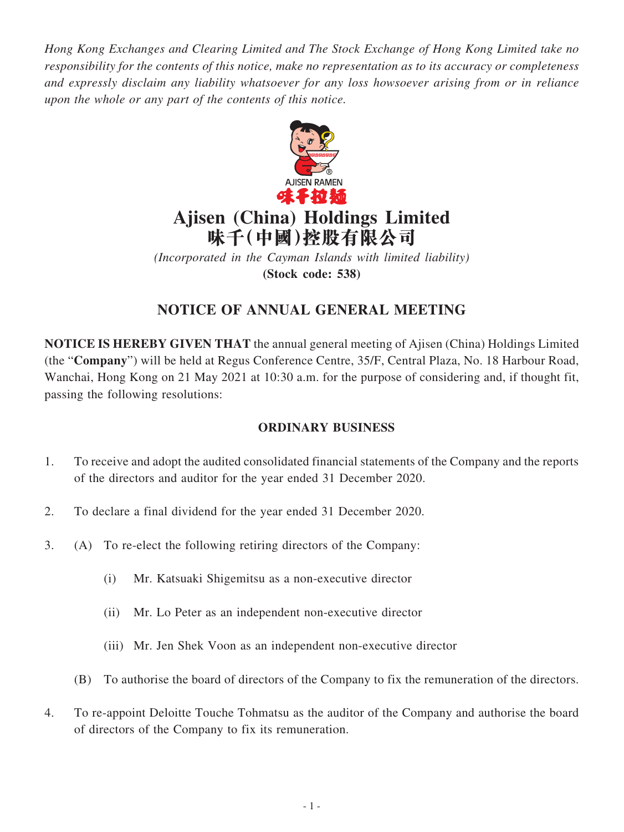*Hong Kong Exchanges and Clearing Limited and The Stock Exchange of Hong Kong Limited take no responsibility for the contents of this notice, make no representation as to its accuracy or completeness and expressly disclaim any liability whatsoever for any loss howsoever arising from or in reliance upon the whole or any part of the contents of this notice.*



# **Ajisen (China) Holdings Limited 味千(中國)控股有限公司**

*(Incorporated in the Cayman Islands with limited liability)* **(Stock code: 538)**

# **NOTICE OF ANNUAL GENERAL MEETING**

**NOTICE IS HEREBY GIVEN THAT** the annual general meeting of Ajisen (China) Holdings Limited (the "**Company**") will be held at Regus Conference Centre, 35/F, Central Plaza, No. 18 Harbour Road, Wanchai, Hong Kong on 21 May 2021 at 10:30 a.m. for the purpose of considering and, if thought fit, passing the following resolutions:

## **ORDINARY BUSINESS**

- 1. To receive and adopt the audited consolidated financial statements of the Company and the reports of the directors and auditor for the year ended 31 December 2020.
- 2. To declare a final dividend for the year ended 31 December 2020.
- 3. (A) To re-elect the following retiring directors of the Company:
	- (i) Mr. Katsuaki Shigemitsu as a non-executive director
	- (ii) Mr. Lo Peter as an independent non-executive director
	- (iii) Mr. Jen Shek Voon as an independent non-executive director
	- (B) To authorise the board of directors of the Company to fix the remuneration of the directors.
- 4. To re-appoint Deloitte Touche Tohmatsu as the auditor of the Company and authorise the board of directors of the Company to fix its remuneration.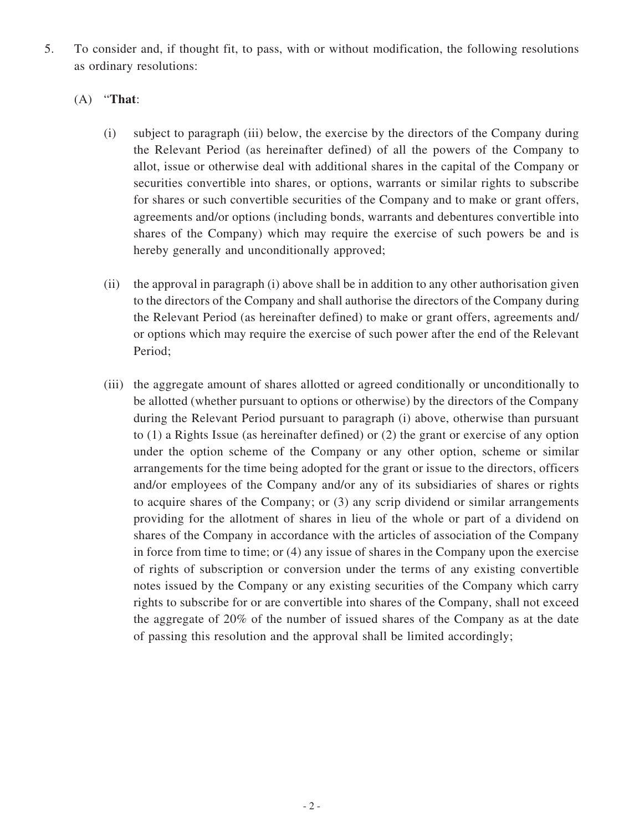5. To consider and, if thought fit, to pass, with or without modification, the following resolutions as ordinary resolutions:

### (A) "**That**:

- (i) subject to paragraph (iii) below, the exercise by the directors of the Company during the Relevant Period (as hereinafter defined) of all the powers of the Company to allot, issue or otherwise deal with additional shares in the capital of the Company or securities convertible into shares, or options, warrants or similar rights to subscribe for shares or such convertible securities of the Company and to make or grant offers, agreements and/or options (including bonds, warrants and debentures convertible into shares of the Company) which may require the exercise of such powers be and is hereby generally and unconditionally approved;
- (ii) the approval in paragraph (i) above shall be in addition to any other authorisation given to the directors of the Company and shall authorise the directors of the Company during the Relevant Period (as hereinafter defined) to make or grant offers, agreements and/ or options which may require the exercise of such power after the end of the Relevant Period;
- (iii) the aggregate amount of shares allotted or agreed conditionally or unconditionally to be allotted (whether pursuant to options or otherwise) by the directors of the Company during the Relevant Period pursuant to paragraph (i) above, otherwise than pursuant to (1) a Rights Issue (as hereinafter defined) or (2) the grant or exercise of any option under the option scheme of the Company or any other option, scheme or similar arrangements for the time being adopted for the grant or issue to the directors, officers and/or employees of the Company and/or any of its subsidiaries of shares or rights to acquire shares of the Company; or (3) any scrip dividend or similar arrangements providing for the allotment of shares in lieu of the whole or part of a dividend on shares of the Company in accordance with the articles of association of the Company in force from time to time; or (4) any issue of shares in the Company upon the exercise of rights of subscription or conversion under the terms of any existing convertible notes issued by the Company or any existing securities of the Company which carry rights to subscribe for or are convertible into shares of the Company, shall not exceed the aggregate of 20% of the number of issued shares of the Company as at the date of passing this resolution and the approval shall be limited accordingly;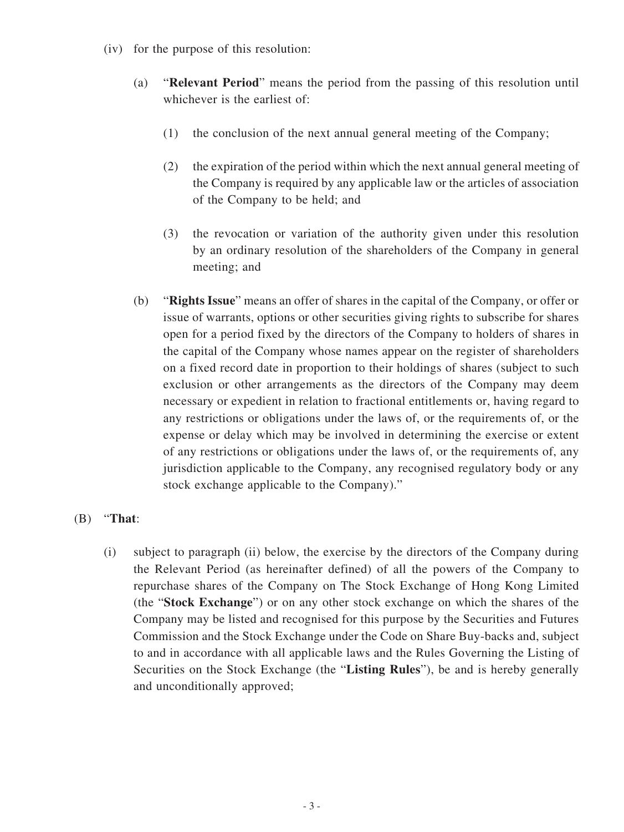- (iv) for the purpose of this resolution:
	- (a) "**Relevant Period**" means the period from the passing of this resolution until whichever is the earliest of:
		- (1) the conclusion of the next annual general meeting of the Company;
		- (2) the expiration of the period within which the next annual general meeting of the Company is required by any applicable law or the articles of association of the Company to be held; and
		- (3) the revocation or variation of the authority given under this resolution by an ordinary resolution of the shareholders of the Company in general meeting; and
	- (b) "**Rights Issue**" means an offer of shares in the capital of the Company, or offer or issue of warrants, options or other securities giving rights to subscribe for shares open for a period fixed by the directors of the Company to holders of shares in the capital of the Company whose names appear on the register of shareholders on a fixed record date in proportion to their holdings of shares (subject to such exclusion or other arrangements as the directors of the Company may deem necessary or expedient in relation to fractional entitlements or, having regard to any restrictions or obligations under the laws of, or the requirements of, or the expense or delay which may be involved in determining the exercise or extent of any restrictions or obligations under the laws of, or the requirements of, any jurisdiction applicable to the Company, any recognised regulatory body or any stock exchange applicable to the Company)."

### (B) "**That**:

(i) subject to paragraph (ii) below, the exercise by the directors of the Company during the Relevant Period (as hereinafter defined) of all the powers of the Company to repurchase shares of the Company on The Stock Exchange of Hong Kong Limited (the "**Stock Exchange**") or on any other stock exchange on which the shares of the Company may be listed and recognised for this purpose by the Securities and Futures Commission and the Stock Exchange under the Code on Share Buy-backs and, subject to and in accordance with all applicable laws and the Rules Governing the Listing of Securities on the Stock Exchange (the "**Listing Rules**"), be and is hereby generally and unconditionally approved;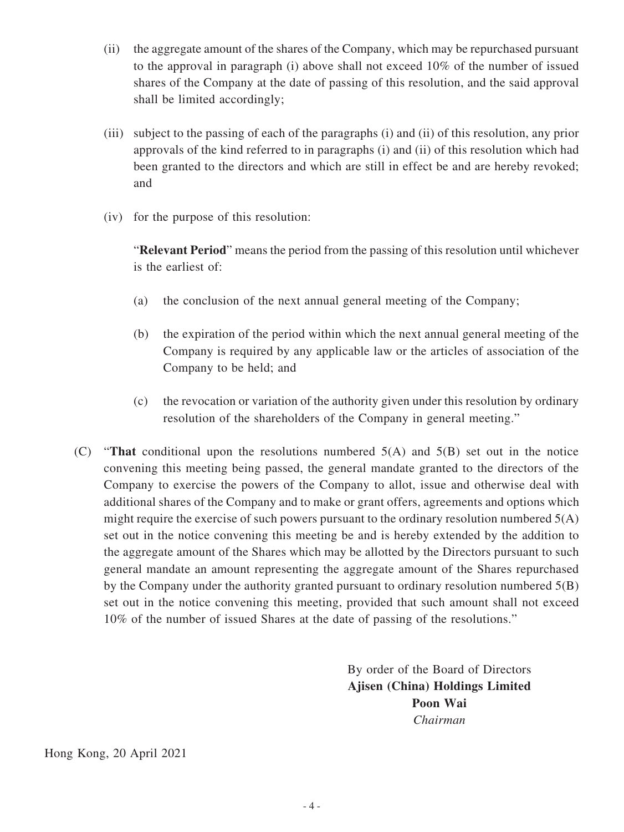- (ii) the aggregate amount of the shares of the Company, which may be repurchased pursuant to the approval in paragraph (i) above shall not exceed 10% of the number of issued shares of the Company at the date of passing of this resolution, and the said approval shall be limited accordingly;
- (iii) subject to the passing of each of the paragraphs (i) and (ii) of this resolution, any prior approvals of the kind referred to in paragraphs (i) and (ii) of this resolution which had been granted to the directors and which are still in effect be and are hereby revoked; and
- (iv) for the purpose of this resolution:

"**Relevant Period**" means the period from the passing of this resolution until whichever is the earliest of:

- (a) the conclusion of the next annual general meeting of the Company;
- (b) the expiration of the period within which the next annual general meeting of the Company is required by any applicable law or the articles of association of the Company to be held; and
- (c) the revocation or variation of the authority given under this resolution by ordinary resolution of the shareholders of the Company in general meeting."
- (C) "**That** conditional upon the resolutions numbered 5(A) and 5(B) set out in the notice convening this meeting being passed, the general mandate granted to the directors of the Company to exercise the powers of the Company to allot, issue and otherwise deal with additional shares of the Company and to make or grant offers, agreements and options which might require the exercise of such powers pursuant to the ordinary resolution numbered 5(A) set out in the notice convening this meeting be and is hereby extended by the addition to the aggregate amount of the Shares which may be allotted by the Directors pursuant to such general mandate an amount representing the aggregate amount of the Shares repurchased by the Company under the authority granted pursuant to ordinary resolution numbered  $5(B)$ set out in the notice convening this meeting, provided that such amount shall not exceed 10% of the number of issued Shares at the date of passing of the resolutions."

By order of the Board of Directors **Ajisen (China) Holdings Limited Poon Wai** *Chairman*

Hong Kong, 20 April 2021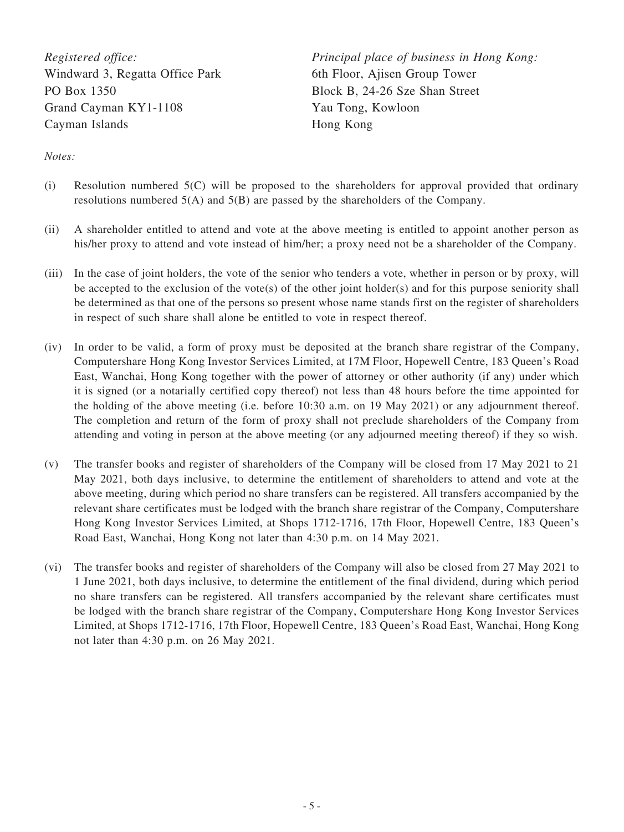*Registered office:* Windward 3, Regatta Office Park PO Box 1350 Grand Cayman KY1-1108 Cayman Islands

*Principal place of business in Hong Kong:* 6th Floor, Ajisen Group Tower Block B, 24-26 Sze Shan Street Yau Tong, Kowloon Hong Kong

*Notes:*

- (i) Resolution numbered 5(C) will be proposed to the shareholders for approval provided that ordinary resolutions numbered 5(A) and 5(B) are passed by the shareholders of the Company.
- (ii) A shareholder entitled to attend and vote at the above meeting is entitled to appoint another person as his/her proxy to attend and vote instead of him/her; a proxy need not be a shareholder of the Company.
- (iii) In the case of joint holders, the vote of the senior who tenders a vote, whether in person or by proxy, will be accepted to the exclusion of the vote(s) of the other joint holder(s) and for this purpose seniority shall be determined as that one of the persons so present whose name stands first on the register of shareholders in respect of such share shall alone be entitled to vote in respect thereof.
- (iv) In order to be valid, a form of proxy must be deposited at the branch share registrar of the Company, Computershare Hong Kong Investor Services Limited, at 17M Floor, Hopewell Centre, 183 Queen's Road East, Wanchai, Hong Kong together with the power of attorney or other authority (if any) under which it is signed (or a notarially certified copy thereof) not less than 48 hours before the time appointed for the holding of the above meeting (i.e. before 10:30 a.m. on 19 May 2021) or any adjournment thereof. The completion and return of the form of proxy shall not preclude shareholders of the Company from attending and voting in person at the above meeting (or any adjourned meeting thereof) if they so wish.
- (v) The transfer books and register of shareholders of the Company will be closed from 17 May 2021 to 21 May 2021, both days inclusive, to determine the entitlement of shareholders to attend and vote at the above meeting, during which period no share transfers can be registered. All transfers accompanied by the relevant share certificates must be lodged with the branch share registrar of the Company, Computershare Hong Kong Investor Services Limited, at Shops 1712-1716, 17th Floor, Hopewell Centre, 183 Queen's Road East, Wanchai, Hong Kong not later than 4:30 p.m. on 14 May 2021.
- (vi) The transfer books and register of shareholders of the Company will also be closed from 27 May 2021 to 1 June 2021, both days inclusive, to determine the entitlement of the final dividend, during which period no share transfers can be registered. All transfers accompanied by the relevant share certificates must be lodged with the branch share registrar of the Company, Computershare Hong Kong Investor Services Limited, at Shops 1712-1716, 17th Floor, Hopewell Centre, 183 Queen's Road East, Wanchai, Hong Kong not later than 4:30 p.m. on 26 May 2021.